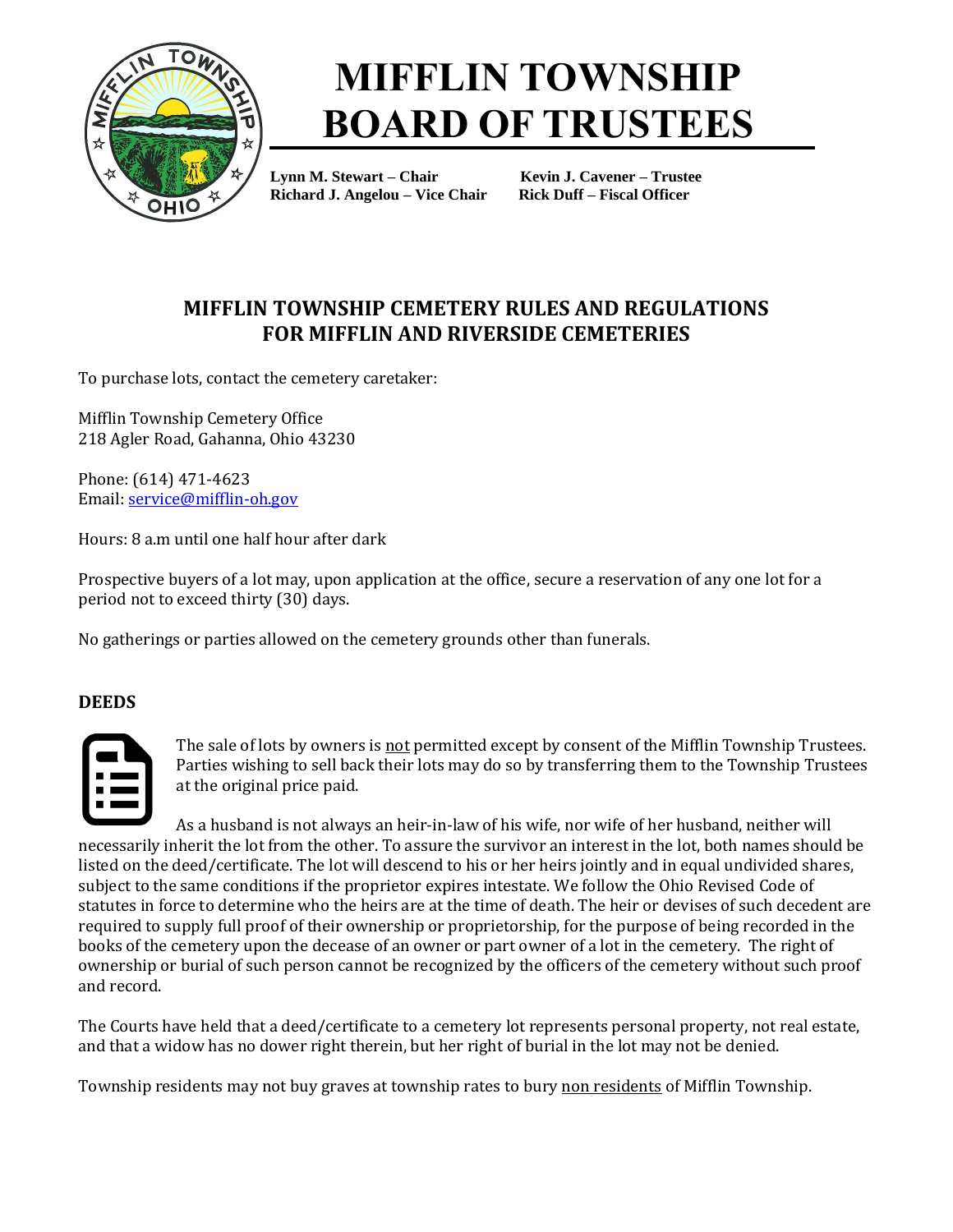

### **MIFFLIN TOWNSHIP BOARD OF TRUSTEES**

**Lynn M. Stewart – Chair Kevin J. Cavener – Trustee Richard J. Angelou – Vice Chair Rick Duff – Fiscal Officer**

### **MIFFLIN TOWNSHIP CEMETERY RULES AND REGULATIONS FOR MIFFLIN AND RIVERSIDE CEMETERIES**

To purchase lots, contact the cemetery caretaker:

Mifflin Township Cemetery Office 218 Agler Road, Gahanna, Ohio 43230

Phone: (614) 471-4623 Email[: service@mifflin-oh.gov](mailto:service@mifflin-oh.gov)

Hours: 8 a.m until one half hour after dark

Prospective buyers of a lot may, upon application at the office, secure a reservation of any one lot for a period not to exceed thirty (30) days.

No gatherings or parties allowed on the cemetery grounds other than funerals.

### **DEEDS**



The sale of lots by owners is not permitted except by consent of the Mifflin Township Trustees. Parties wishing to sell back their lots may do so by transferring them to the Township Trustees at the original price paid.

As a husband is not always an heir-in-law of his wife, nor wife of her husband, neither will necessarily inherit the lot from the other. To assure the survivor an interest in the lot, both names should be listed on the deed/certificate. The lot will descend to his or her heirs jointly and in equal undivided shares, subject to the same conditions if the proprietor expires intestate. We follow the Ohio Revised Code of statutes in force to determine who the heirs are at the time of death. The heir or devises of such decedent are required to supply full proof of their ownership or proprietorship, for the purpose of being recorded in the books of the cemetery upon the decease of an owner or part owner of a lot in the cemetery. The right of ownership or burial of such person cannot be recognized by the officers of the cemetery without such proof and record.

The Courts have held that a deed/certificate to a cemetery lot represents personal property, not real estate, and that a widow has no dower right therein, but her right of burial in the lot may not be denied.

Township residents may not buy graves at township rates to bury non residents of Mifflin Township.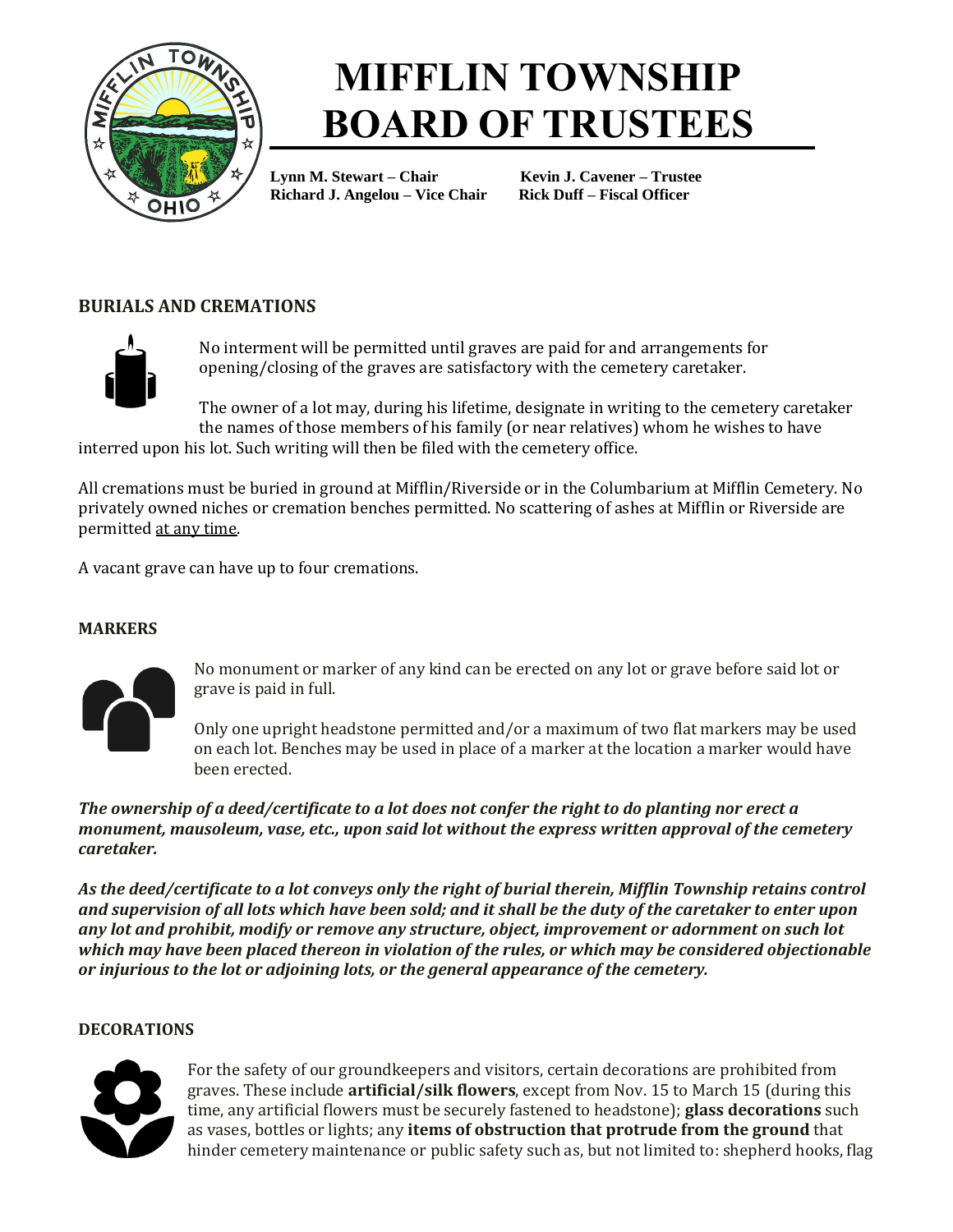

# **MIFFLIN TOWNSHIP BOARD OF TRUSTEES**

**Lynn M. Stewart – Chair Kevin J. Cavener – Trustee Richard J. Angelou – Vice Chair Rick Duff – Fiscal Officer**

### **BURIALS AND CREMATIONS**



No interment will be permitted until graves are paid for and arrangements for opening/closing of the graves are satisfactory with the cemetery caretaker.

The owner of a lot may, during his lifetime, designate in writing to the cemetery caretaker the names of those members of his family (or near relatives) whom he wishes to have

interred upon his lot. Such writing will then be filed with the cemetery office.

All cremations must be buried in ground at Mifflin/Riverside or in the Columbarium at Mifflin Cemetery. No privately owned niches or cremation benches permitted. No scattering of ashes at Mifflin or Riverside are permitted at any time.

A vacant grave can have up to four cremations.

#### **MARKERS**



No monument or marker of any kind can be erected on any lot or grave before said lot or grave is paid in full.

Only one upright headstone permitted and/or a maximum of two flat markers may be used on each lot. Benches may be used in place of a marker at the location a marker would have been erected.

*The ownership of a deed/certificate to a lot does not confer the right to do planting nor erect a monument, mausoleum, vase, etc., upon said lot without the express written approval of the cemetery caretaker.*

*As the deed/certificate to a lot conveys only the right of burial therein, Mifflin Township retains control and supervision of all lots which have been sold; and it shall be the duty of the caretaker to enter upon any lot and prohibit, modify or remove any structure, object, improvement or adornment on such lot which may have been placed thereon in violation of the rules, or which may be considered objectionable or injurious to the lot or adjoining lots, or the general appearance of the cemetery.*

#### **DECORATIONS**



For the safety of our groundkeepers and visitors, certain decorations are prohibited from graves. These include **artificial/silk flowers**, except from Nov. 15 to March 15 (during this time, any artificial flowers must be securely fastened to headstone); **glass decorations** such as vases, bottles or lights; any **items of obstruction that protrude from the ground** that hinder cemetery maintenance or public safety such as, but not limited to: shepherd hooks, flag